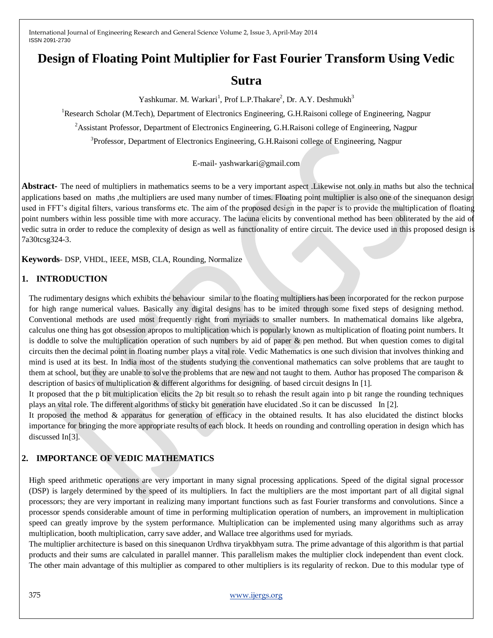# **Design of Floating Point Multiplier for Fast Fourier Transform Using Vedic**

# **Sutra**

Yashkumar. M. Warkari<sup>1</sup>, Prof L.P.Thakare<sup>2</sup>, Dr. A.Y. Deshmukh<sup>3</sup>

<sup>1</sup>Research Scholar (M.Tech), Department of Electronics Engineering, G.H.Raisoni college of Engineering, Nagpur

<sup>2</sup>Assistant Professor, Department of Electronics Engineering, G.H.Raisoni college of Engineering, Nagpur

<sup>3</sup>Professor, Department of Electronics Engineering, G.H.Raisoni college of Engineering, Nagpur

E-mail- yashwarkari@gmail.com

**Abstract-** The need of multipliers in mathematics seems to be a very important aspect .Likewise not only in maths but also the technical applications based on maths ,the multipliers are used many number of times. Floating point multiplier is also one of the sinequanon design used in FFT's digital filters, various transforms etc. The aim of the proposed design in the paper is to provide the multiplication of floating point numbers within less possible time with more accuracy. The lacuna elicits by conventional method has been obliterated by the aid of vedic sutra in order to reduce the complexity of design as well as functionality of entire circuit. The device used in this proposed design is 7a30tcsg324-3.

**Keywords**- DSP, VHDL, IEEE, MSB, CLA, Rounding, Normalize

## **1. INTRODUCTION**

The rudimentary designs which exhibits the behaviour similar to the floating multipliers has been incorporated for the reckon purpose for high range numerical values. Basically any digital designs has to be imited through some fixed steps of designing method. Conventional methods are used most frequently right from myriads to smaller numbers. In mathematical domains like algebra, calculus one thing has got obsession apropos to multiplication which is popularly known as multiplication of floating point numbers. It is doddle to solve the multiplication operation of such numbers by aid of paper & pen method. But when question comes to digital circuits then the decimal point in floating number plays a vital role. Vedic Mathematics is one such division that involves thinking and mind is used at its best. In India most of the students studying the conventional mathematics can solve problems that are taught to them at school, but they are unable to solve the problems that are new and not taught to them. Author has proposed The comparison  $\&$ description of basics of multiplication & different algorithms for designing. of based circuit designs In [1].

It proposed that the p bit multiplication elicits the 2p bit result so to rehash the result again into p bit range the rounding techniques plays an vital role. The different algorithms of sticky bit generation have elucidated .So it can be discussed In [2].

It proposed the method & apparatus for generation of efficacy in the obtained results. It has also elucidated the distinct blocks importance for bringing the more appropriate results of each block. It heeds on rounding and controlling operation in design which has discussed In[3].

# **2. IMPORTANCE OF VEDIC MATHEMATICS**

High speed arithmetic operations are very important in many signal processing applications. Speed of the digital signal processor (DSP) is largely determined by the speed of its multipliers. In fact the multipliers are the most important part of all digital signal processors; they are very important in realizing many important functions such as fast Fourier transforms and convolutions. Since a processor spends considerable amount of time in performing multiplication operation of numbers, an improvement in multiplication speed can greatly improve by the system performance. Multiplication can be implemented using many algorithms such as array multiplication, booth multiplication, carry save adder, and Wallace tree algorithms used for myriads.

The multiplier architecture is based on this sinequanon Urdhva tiryakbhyam sutra. The prime advantage of this algorithm is that partial products and their sums are calculated in parallel manner. This parallelism makes the multiplier clock independent than event clock. The other main advantage of this multiplier as compared to other multipliers is its regularity of reckon. Due to this modular type of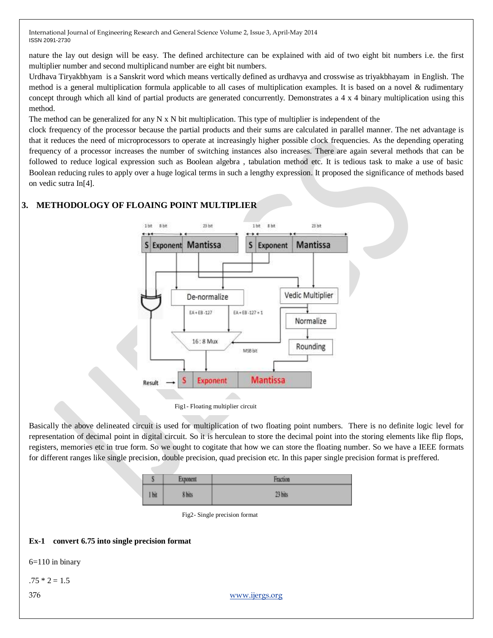nature the lay out design will be easy. The defined architecture can be explained with aid of two eight bit numbers i.e. the first multiplier number and second multiplicand number are eight bit numbers.

Urdhava Tiryakbhyam is a Sanskrit word which means vertically defined as urdhavya and crosswise as triyakbhayam in English. The method is a general multiplication formula applicable to all cases of multiplication examples. It is based on a novel & rudimentary concept through which all kind of partial products are generated concurrently. Demonstrates a 4 x 4 binary multiplication using this method.

The method can be generalized for any N  $\bar{x}$  N bit multiplication. This type of multiplier is independent of the

clock frequency of the processor because the partial products and their sums are calculated in parallel manner. The net advantage is that it reduces the need of microprocessors to operate at increasingly higher possible clock frequencies. As the depending operating frequency of a processor increases the number of switching instances also increases. There are again several methods that can be followed to reduce logical expression such as Boolean algebra , tabulation method etc. It is tedious task to make a use of basic Boolean reducing rules to apply over a huge logical terms in such a lengthy expression. It proposed the significance of methods based on vedic sutra In[4].

### **3. METHODOLOGY OF FLOAING POINT MULTIPLIER**



Fig1- Floating multiplier circuit

Basically the above delineated circuit is used for multiplication of two floating point numbers. There is no definite logic level for representation of decimal point in digital circuit. So it is herculean to store the decimal point into the storing elements like flip flops, registers, memories etc in true form. So we ought to cogitate that how we can store the floating number. So we have a IEEE formats for different ranges like single precision, double precision, quad precision etc. In this paper single precision format is preffered.

|     | <b>Connective</b> | $P_{\text{total}}$ |
|-----|-------------------|--------------------|
| bit | 6 bits            | 23 bits            |

Fig2- Single precision format

#### **Ex-1 convert 6.75 into single precision format**

6=110 in binary

 $.75 * 2 = 1.5$ 

376 [www.ijergs.org](http://www.ijergs.org/)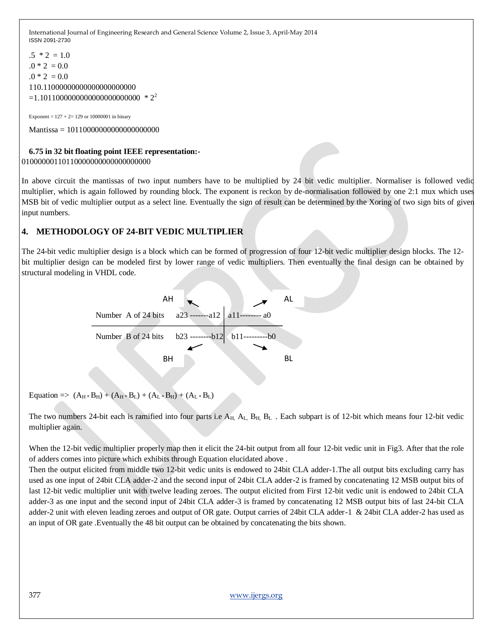```
.5 * 2 = 1.0.0 * 2 = 0.0.0 * 2 = 0.0110.11000000000000000000000
=1.101100000000000000000000000 * 2<sup>2</sup>
```
Exponent =  $127 + 2 = 129$  or 10000001 in binary

Mantissa = 10110000000000000000000

#### **6.75 in 32 bit floating point IEEE representation:-** 01000000110110000000000000000000

In above circuit the mantissas of two input numbers have to be multiplied by 24 bit vedic multiplier. Normaliser is followed vedic multiplier, which is again followed by rounding block. The exponent is reckon by de-normalisation followed by one 2:1 mux which uses MSB bit of vedic multiplier output as a select line. Eventually the sign of result can be determined by the Xoring of two sign bits of given input numbers.

## **4. METHODOLOGY OF 24-BIT VEDIC MULTIPLIER**

The 24-bit vedic multiplier design is a block which can be formed of progression of four 12-bit vedic multiplier design blocks. The 12 bit multiplier design can be modeled first by lower range of vedic multipliers. Then eventually the final design can be obtained by structural modeling in VHDL code.



Equation =>  $(A_H * B_H) + (A_H * B_L) + (A_L * B_H) + (A_L * B_L)$ 

The two numbers 24-bit each is ramified into four parts i.e  $A_H$ ,  $A_L$ ,  $B_H$ ,  $B_L$ . Each subpart is of 12-bit which means four 12-bit vedic multiplier again.

When the 12-bit vedic multiplier properly map then it elicit the 24-bit output from all four 12-bit vedic unit in Fig3. After that the role of adders comes into picture which exhibits through Equation elucidated above .

Then the output elicited from middle two 12-bit vedic units is endowed to 24bit CLA adder-1.The all output bits excluding carry has used as one input of 24bit CLA adder-2 and the second input of 24bit CLA adder-2 is framed by concatenating 12 MSB output bits of last 12-bit vedic multiplier unit with twelve leading zeroes. The output elicited from First 12-bit vedic unit is endowed to 24bit CLA adder-3 as one input and the second input of 24bit CLA adder-3 is framed by concatenating 12 MSB output bits of last 24-bit CLA adder-2 unit with eleven leading zeroes and output of OR gate. Output carries of 24bit CLA adder-1 & 24bit CLA adder-2 has used as an input of OR gate .Eventually the 48 bit output can be obtained by concatenating the bits shown.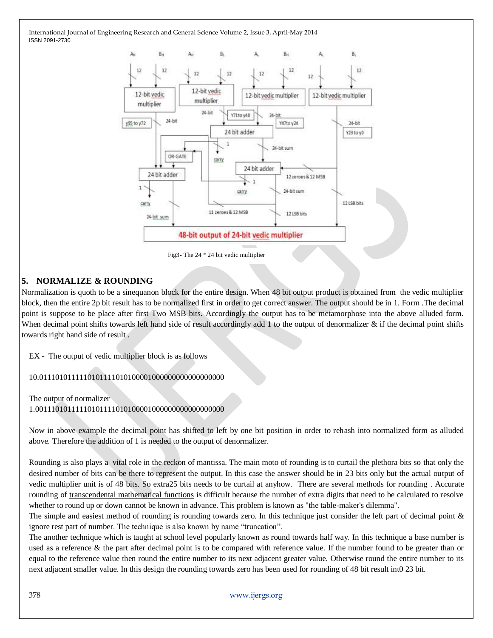

Fig3- The 24 \* 24 bit vedic multiplier

# **5. NORMALIZE & ROUNDING**

Normalization is quoth to be a sinequanon block for the entire design. When 48 bit output product is obtained from the vedic multiplier block, then the entire 2p bit result has to be normalized first in order to get correct answer. The output should be in 1. Form .The decimal point is suppose to be place after first Two MSB bits. Accordingly the output has to be metamorphose into the above alluded form. When decimal point shifts towards left hand side of result accordingly add 1 to the output of denormalizer  $\&$  if the decimal point shifts towards right hand side of result .

EX - The output of vedic multiplier block is as follows

10.0111010111110101111010100001000000000000000000

#### The output of normalizer 1.00111010111110101111010100001000000000000000000

Now in above example the decimal point has shifted to left by one bit position in order to rehash into normalized form as alluded above. Therefore the addition of 1 is needed to the output of denormalizer.

Rounding is also plays a vital role in the reckon of mantissa. The main moto of rounding is to curtail the plethora bits so that only the desired number of bits can be there to represent the output. In this case the answer should be in 23 bits only but the actual output of vedic multiplier unit is of 48 bits. So extra25 bits needs to be curtail at anyhow. There are several methods for rounding . Accurate rounding of [transcendental mathematical functions](http://en.wikipedia.org/wiki/Transcendental_function) is difficult because the number of extra digits that need to be calculated to resolve whether to round up or down cannot be known in advance. This problem is known as "the table-maker's dilemma".

The simple and easiest method of rounding is rounding towards zero. In this technique just consider the left part of decimal point  $\&$ ignore rest part of number. The technique is also known by name "truncation".

The another technique which is taught at school level popularly known as round towards half way. In this technique a base number is used as a reference & the part after decimal point is to be compared with reference value. If the number found to be greater than or equal to the reference value then round the entire number to its next adjacent greater value. Otherwise round the entire number to its next adjacent smaller value. In this design the rounding towards zero has been used for rounding of 48 bit result int0 23 bit.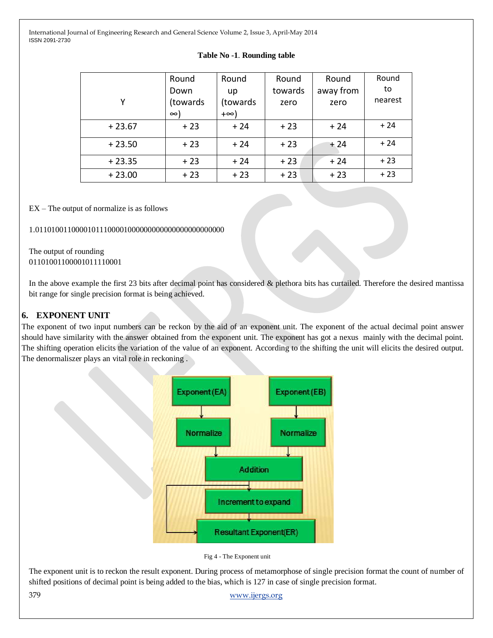| Υ        | Round<br>Down<br>(towards)<br>$\infty$ | Round<br>up<br>(towards)<br>+∞) | Round<br>towards<br>zero | Round<br>away from<br>zero | Round<br>to<br>nearest |
|----------|----------------------------------------|---------------------------------|--------------------------|----------------------------|------------------------|
| $+23.67$ | $+23$                                  | $+24$                           | $+23$                    | $+24$                      | $+24$                  |
| $+23.50$ | $+23$                                  | $+24$                           | $+23$                    | $+24$                      | $+24$                  |
| $+23.35$ | $+23$                                  | $+24$                           | $+23$                    | $+24$                      | $+23$                  |
| $+23.00$ | $+23$                                  | $+23$                           | $+23$                    | $+23$                      | $+23$                  |

#### **Table No -1**. **Rounding table**

EX – The output of normalize is as follows

1.01101001100001011100001000000000000000000000000

The output of rounding 01101001100001011110001

In the above example the first 23 bits after decimal point has considered & plethora bits has curtailed. Therefore the desired mantissa bit range for single precision format is being achieved.

### **6. EXPONENT UNIT**

The exponent of two input numbers can be reckon by the aid of an exponent unit. The exponent of the actual decimal point answer should have similarity with the answer obtained from the exponent unit. The exponent has got a nexus mainly with the decimal point. The shifting operation elicits the variation of the value of an exponent. According to the shifting the unit will elicits the desired output. The denormaliszer plays an vital role in reckoning .



Fig 4 - The Exponent unit

The exponent unit is to reckon the result exponent. During process of metamorphose of single precision format the count of number of shifted positions of decimal point is being added to the bias, which is 127 in case of single precision format.

379 [www.ijergs.org](http://www.ijergs.org/)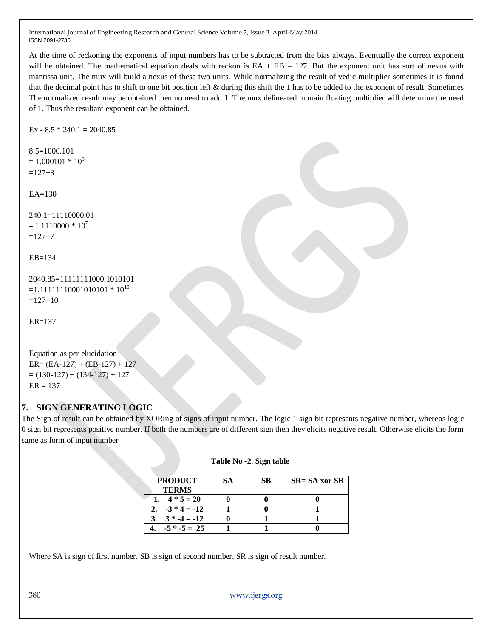At the time of reckoning the exponents of input numbers has to be subtracted from the bias always. Eventually the correct exponent will be obtained. The mathematical equation deals with reckon is  $EA + EB - 127$ . But the exponent unit has sort of nexus with mantissa unit. The mux will build a nexus of these two units. While normalizing the result of vedic multiplier sometimes it is found that the decimal point has to shift to one bit position left & during this shift the 1 has to be added to the exponent of result. Sometimes The normalized result may be obtained then no need to add 1. The mux delineated in main floating multiplier will determine the need of 1. Thus the resultant exponent can be obtained.

Ex -  $8.5 * 240.1 = 2040.85$ 

```
8.5=1000.101
= 1.000101 * 10<sup>3</sup>=127+3
```
EA=130

240.1=11110000.01  $= 1.1110000 * 10<sup>7</sup>$  $=127+7$ 

EB=134

```
2040.85=11111111000.1010101
=1.11111110001010101 * 10^{10}=127+10
```

```
ER=137
```

```
Equation as per elucidation
ER = (EA-127) + (EB-127) + 127= (130-127) + (134-127) + 127ER = 137
```
## **7. SIGN GENERATING LOGIC**

The Sign of result can be obtained by XORing of signs of input number. The logic 1 sign bit represents negative number, whereas logic 0 sign bit represents positive number. If both the numbers are of different sign then they elicits negative result. Otherwise elicits the form same as form of input number

| <b>PRODUCT</b> | SА | SB | $SR = SA$ xor SB |
|----------------|----|----|------------------|
| <b>TERMS</b>   |    |    |                  |
| $4 * 5 = 20$   |    |    |                  |
| $-3 * 4 = -12$ |    |    |                  |
| $3 * -4 = -12$ |    |    |                  |
| $-5 * -5 = 25$ |    |    |                  |

#### **Table No -2**. **Sign table**

Where SA is sign of first number. SB is sign of second number. SR is sign of result number.

```
380 www.ijergs.org
```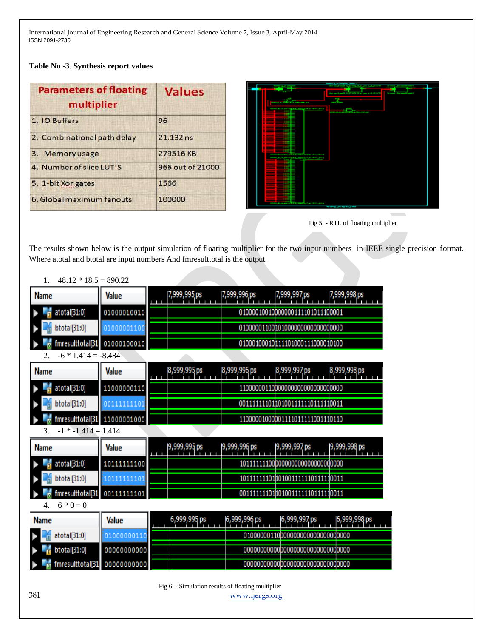**Table No -3**. **Synthesis report values**

| <b>Parameters of floating</b><br>multiplier | <b>Values</b>    |  |  |
|---------------------------------------------|------------------|--|--|
| 1. IO Buffers                               | 96               |  |  |
| 2. Combinational path delay                 | $21.132$ ns      |  |  |
| 3. Memory usage                             | 279516KB         |  |  |
| 4. Number of slice LUT'S                    | 966 out of 21000 |  |  |
| 5. 1-bit Xor gates                          | 1566             |  |  |
| 6. Global maximum fanouts                   | 100000           |  |  |





The results shown below is the output simulation of floating multiplier for the two input numbers in IEEE single precision format. Where atotal and btotal are input numbers And fmresulttotal is the output.

| Ι.<br>$48.12 * 18.5 = 890.22$ |              |                                |              |                                       |               |
|-------------------------------|--------------|--------------------------------|--------------|---------------------------------------|---------------|
| <b>Name</b>                   | Value        | 7,999,995 ps                   | 7,999,996 ps | 7,999,997 ps                          | 7,999,998 ps  |
| atotal[31:0]<br>Þ             | 01000010010  |                                |              | 01000010010000000111101011100001      |               |
| btotal[31:0]                  | 01000001100  |                                |              |                                       |               |
| fmresulttotal[31              | 01000100010  |                                |              | 010001000100111101000111000010100     |               |
| $-6 * 1.414 = -8.484$         |              |                                |              |                                       |               |
| <b>Name</b>                   | <b>Value</b> | 8,999,995 ps                   | 8,999,996 ps | 8,999,997 ps                          | 8,999,998 ps  |
| atotal[31:0]<br>Þ             | 11000000110  |                                |              | 110000001100000000000000000000000     |               |
| btotal[31:0]                  | 00111111101  |                                |              | 001111111101 101001111111011111 0011  |               |
| mresulttotal[31               | 11000001000  |                                |              | 11000001000001111011111001110110      |               |
| $-1$ * $-1.414 = 1.414$<br>3. |              |                                |              |                                       |               |
| <b>Name</b>                   | <b>Value</b> | 9,999,995 ps                   | 9,999,996 ps | 9,999,997 ps                          | 19,999,998 ps |
| atotal[31:0]                  | 101111111100 |                                |              |                                       |               |
| btotal[31:0]                  | 10111111101  |                                |              | 101111111101 101001111111011111 0011  |               |
| fmresulttotal[31              | 001111111101 |                                |              | 001111111101 101001111111011111 10011 |               |
| $6 * 0 = 0$<br>4.             |              |                                |              |                                       |               |
| <b>Name</b>                   | <b>Value</b> | 6,999,995 ps<br>$\blacksquare$ | 6,999,996 ps | 6,999,997 ps                          | 6,999,998 ps  |
| atotal[31:0]                  | 01000000110  |                                |              | 010000001100000000000000000000000     |               |
| btotal[31:0]                  | 00000000000  |                                |              |                                       |               |
| fmresulttotal[31              | 00000000000  |                                |              |                                       |               |
|                               |              |                                |              |                                       |               |

# $1.4012*195.00022$

381 [www.ijergs.org](http://www.ijergs.org/) Fig 6 - Simulation results of floating multiplier